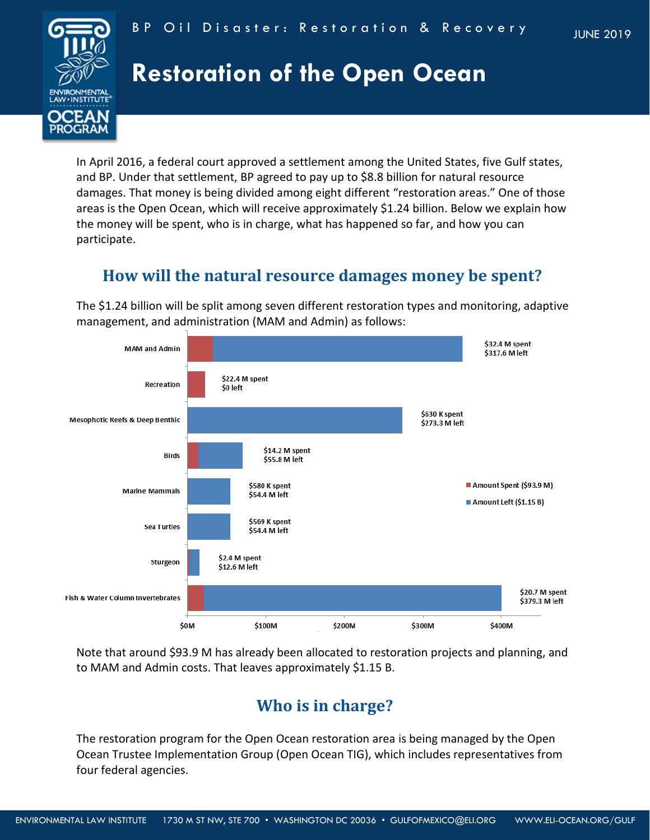

#### BP Oil Disaster: Restoration & Recovery

# **Restoration of the Open Ocean**

In April 2016, a federal court approved a settlement among the United States, five Gulf states, and BP. Under that settlement, BP agreed to pay up to \$8.8 billion for natural resource damages. That money is being divided among eight different "restoration areas." One of those areas is the Open Ocean, which will receive approximately \$1.24 billion. Below we explain how the money will be spent, who is in charge, what has happened so far, and how you can participate.

## **How will the natural resource damages money be spent?**

The \$1.24 billion will be split among seven different restoration types and monitoring, adaptive management, and administration (MAM and Admin) as follows:



Note that around \$93.9 M has already been allocated to restoration projects and planning, and to MAM and Admin costs. That leaves approximately \$1.15 B.

# **Who is in charge?**

The restoration program for the Open Ocean restoration area is being managed by the Open Ocean Trustee Implementation Group (Open Ocean TIG), which includes representatives from four federal agencies.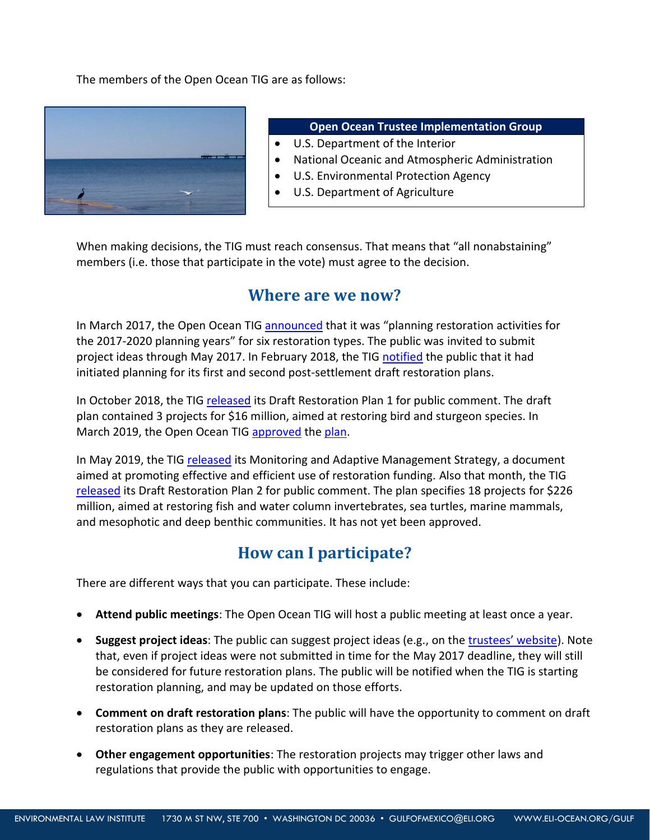The members of the Open Ocean TIG are as follows:



#### **Open Ocean Trustee Implementation Group**

- U.S. Department of the Interior
- National Oceanic and Atmospheric Administration
- U.S. Environmental Protection Agency
- U.S. Department of Agriculture

When making decisions, the TIG must reach consensus. That means that "all nonabstaining" members (i.e. those that participate in the vote) must agree to the decision.

#### **Where are we now?**

In March 2017, the Open Ocean TI[G announced](http://gulfspillrestoration.noaa.gov/2017/04/open-ocean-trustee-implementation-group-hold-webinar-restoration-planning) that it was "planning restoration activities for the 2017-2020 planning years" for six restoration types. The public was invited to submit project ideas through May 2017. In February 2018, the TIG [notified](https://www.gulfspillrestoration.noaa.gov/2018/02/open-ocean-trustees-initiate-restoration-planning) the public that it had initiated planning for its first and second post-settlement draft restoration plans.

In October 2018, the TIG [released](https://www.gulfspillrestoration.noaa.gov/2018/10/open-ocean-trustee-implementation-group-seeks-public-comment-its-first-draft-restoration) its Draft Restoration Plan 1 for public comment. The draft plan contained 3 projects for \$16 million, aimed at restoring bird and sturgeon species. In March 2019, the Open Ocean TIG [approved](https://www.gulfspillrestoration.noaa.gov/2019/03/open-ocean-trustees-approve-final-restoration-plan-1) the [plan.](https://www.gulfspillrestoration.noaa.gov/sites/default/files/2019-03%20OO%20TIG%20Final%20RPEA1%20FINAL.pdf)

In May 2019, the TIG [released](https://www.gulfspillrestoration.noaa.gov/2019/05/open-ocean-trustees-release-monitoring-and-adaptive-management-strategy) its Monitoring and Adaptive Management Strategy, a document aimed at promoting effective and efficient use of restoration funding. Also that month, the TIG [released](https://www.gulfspillrestoration.noaa.gov/2019/05/open-ocean-draft-restoration-plan-2-available-public-comment) its Draft Restoration Plan 2 for public comment. The plan specifies 18 projects for \$226 million, aimed at restoring fish and water column invertebrates, sea turtles, marine mammals, and mesophotic and deep benthic communities. It has not yet been approved.

## **How can I participate?**

There are different ways that you can participate. These include:

- **Attend public meetings**: The Open Ocean TIG will host a public meeting at least once a year.
- **Suggest project ideas**: The public can suggest project ideas (e.g., on the [trustees' website](http://www.gulfspillrestoration.noaa.gov/restoration/give-us-your-ideas/suggest-a-restoration-project)). Note that, even if project ideas were not submitted in time for the May 2017 deadline, they will still be considered for future restoration plans. The public will be notified when the TIG is starting restoration planning, and may be updated on those efforts.
- **Comment on draft restoration plans**: The public will have the opportunity to comment on draft restoration plans as they are released.
- **Other engagement opportunities**: The restoration projects may trigger other laws and regulations that provide the public with opportunities to engage.